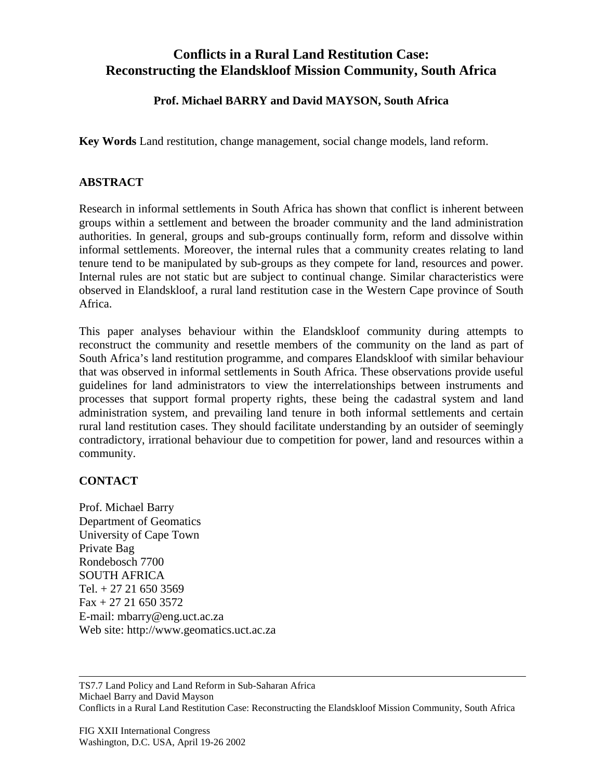## **Conflicts in a Rural Land Restitution Case: Reconstructing the Elandskloof Mission Community, South Africa**

## **Prof. Michael BARRY and David MAYSON, South Africa**

**Key Words** Land restitution, change management, social change models, land reform.

## **ABSTRACT**

Research in informal settlements in South Africa has shown that conflict is inherent between groups within a settlement and between the broader community and the land administration authorities. In general, groups and sub-groups continually form, reform and dissolve within informal settlements. Moreover, the internal rules that a community creates relating to land tenure tend to be manipulated by sub-groups as they compete for land, resources and power. Internal rules are not static but are subject to continual change. Similar characteristics were observed in Elandskloof, a rural land restitution case in the Western Cape province of South Africa.

This paper analyses behaviour within the Elandskloof community during attempts to reconstruct the community and resettle members of the community on the land as part of South Africa's land restitution programme, and compares Elandskloof with similar behaviour that was observed in informal settlements in South Africa. These observations provide useful guidelines for land administrators to view the interrelationships between instruments and processes that support formal property rights, these being the cadastral system and land administration system, and prevailing land tenure in both informal settlements and certain rural land restitution cases. They should facilitate understanding by an outsider of seemingly contradictory, irrational behaviour due to competition for power, land and resources within a community.

## **CONTACT**

Prof. Michael Barry Department of Geomatics University of Cape Town Private Bag Rondebosch 7700 SOUTH AFRICA Tel.  $+27216503569$  $Fax + 27 21 650 3572$ E-mail: mbarry@eng.uct.ac.za Web site: http://www.geomatics.uct.ac.za

TS7.7 Land Policy and Land Reform in Sub-Saharan Africa Michael Barry and David Mayson Conflicts in a Rural Land Restitution Case: Reconstructing the Elandskloof Mission Community, South Africa